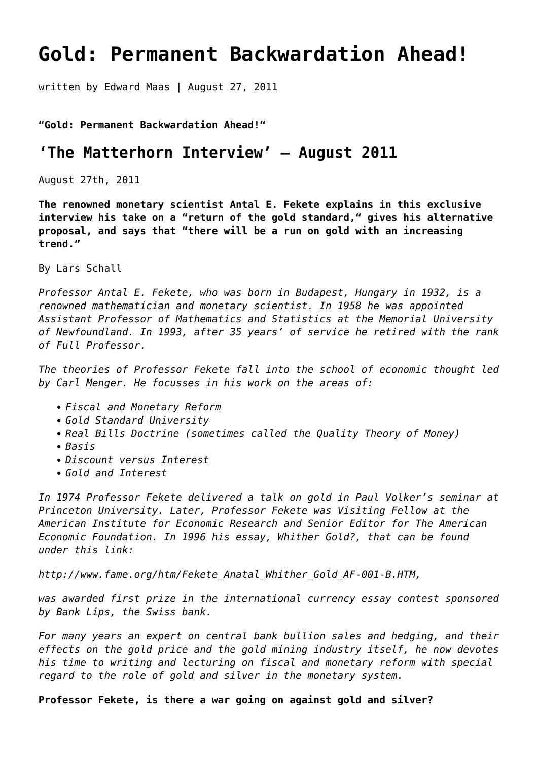# **[Gold: Permanent Backwardation Ahead!](https://goldswitzerland.com/gold-permanent-backwardation-ahead/)**

written by Edward Maas | August 27, 2011

# **"Gold: Permanent Backwardation Ahead!"**

# **'The Matterhorn Interview' – August 2011**

August 27th, 2011

**The renowned monetary scientist Antal E. Fekete explains in this exclusive interview his take on a "return of the gold standard," gives his alternative proposal, and says that "there will be a run on gold with an increasing trend."**

By Lars Schall

*Professor Antal E. Fekete, who was born in Budapest, Hungary in 1932, is a renowned mathematician and monetary scientist. In 1958 he was appointed Assistant Professor of Mathematics and Statistics at the Memorial University of Newfoundland. In 1993, after 35 years' of service he retired with the rank of Full Professor.*

*The theories of Professor Fekete fall into the school of economic thought led by Carl Menger. He focusses in his work on the areas of:*

- *Fiscal and Monetary Reform*
- *Gold Standard University*
- *Real Bills Doctrine (sometimes called the Quality Theory of Money)*
- *Basis*
- *Discount versus Interest*
- *Gold and Interest*

*In 1974 Professor Fekete delivered a talk on gold in Paul Volker's seminar at Princeton University. Later, Professor Fekete was Visiting Fellow at the American Institute for Economic Research and Senior Editor for The American Economic Foundation. In 1996 his essay, Whither Gold?, that can be found under this link:*

*[http://www.fame.org/htm/Fekete\\_Anatal\\_Whither\\_Gold\\_AF-001-B.HTM,](http://www.fame.org/htm/Fekete_Anatal_Whither_Gold_AF-001-B.HTM)*

*was awarded first prize in the international currency essay contest sponsored by Bank Lips, the Swiss bank.*

*For many years an expert on central bank bullion sales and hedging, and their effects on the gold price and the gold mining industry itself, he now devotes his time to writing and lecturing on fiscal and monetary reform with special regard to the role of gold and silver in the monetary system.*

**Professor Fekete, is there a war going on against gold and silver?**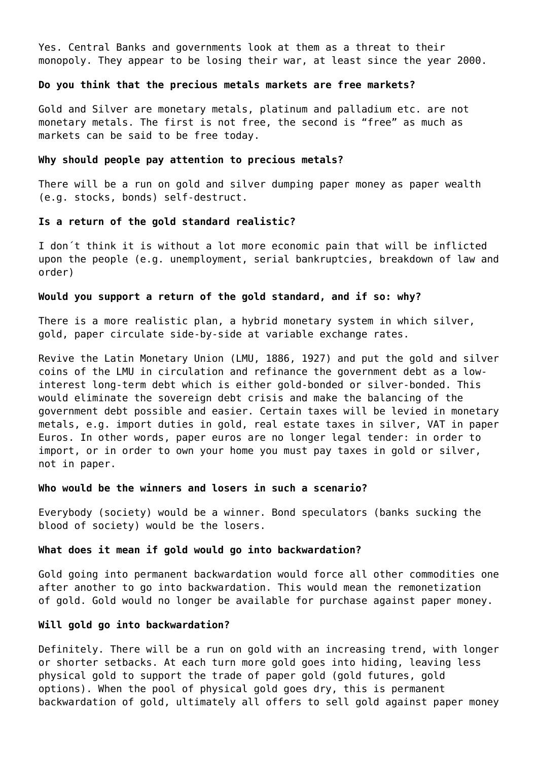Yes. Central Banks and governments look at them as a threat to their monopoly. They appear to be losing their war, at least since the year 2000.

# **Do you think that the precious metals markets are free markets?**

Gold and Silver are monetary metals, platinum and palladium etc. are not monetary metals. The first is not free, the second is "free" as much as markets can be said to be free today.

#### **Why should people pay attention to precious metals?**

There will be a run on gold and silver dumping paper money as paper wealth (e.g. stocks, bonds) self-destruct.

# **Is a return of the gold standard realistic?**

I don´t think it is without a lot more economic pain that will be inflicted upon the people (e.g. unemployment, serial bankruptcies, breakdown of law and order)

#### **Would you support a return of the gold standard, and if so: why?**

There is a more realistic plan, a hybrid monetary system in which silver, gold, paper circulate side-by-side at variable exchange rates.

Revive the Latin Monetary Union (LMU, 1886, 1927) and put the gold and silver coins of the LMU in circulation and refinance the government debt as a lowinterest long-term debt which is either gold-bonded or silver-bonded. This would eliminate the sovereign debt crisis and make the balancing of the government debt possible and easier. Certain taxes will be levied in monetary metals, e.g. import duties in gold, real estate taxes in silver, VAT in paper Euros. In other words, paper euros are no longer legal tender: in order to import, or in order to own your home you must pay taxes in gold or silver, not in paper.

#### **Who would be the winners and losers in such a scenario?**

Everybody (society) would be a winner. Bond speculators (banks sucking the blood of society) would be the losers.

#### **What does it mean if gold would go into backwardation?**

Gold going into permanent backwardation would force all other commodities one after another to go into backwardation. This would mean the remonetization of gold. Gold would no longer be available for purchase against paper money.

# **Will gold go into backwardation?**

Definitely. There will be a run on gold with an increasing trend, with longer or shorter setbacks. At each turn more gold goes into hiding, leaving less physical gold to support the trade of paper gold (gold futures, gold options). When the pool of physical gold goes dry, this is permanent backwardation of gold, ultimately all offers to sell gold against paper money